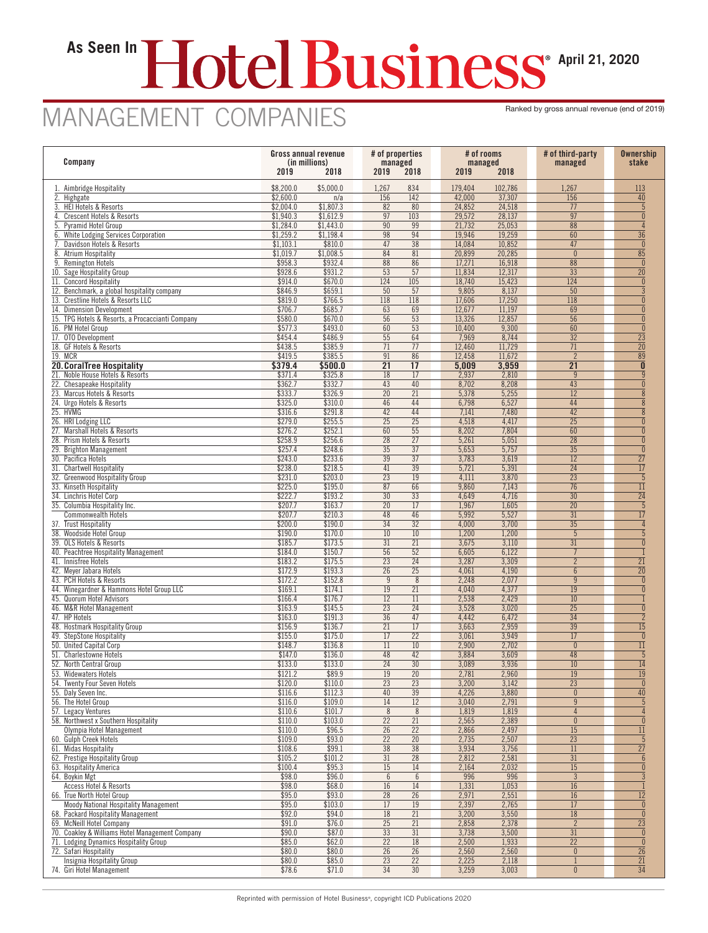## **As Seen In April 21, 2020**

## MANAGEMENT COMPANIES Ranked by gross annual revenue (end of 2019)

| Company                                                                       | Gross annual revenue<br>(in millions)<br>2019<br>2018 |                        | # of properties<br>managed<br>2019<br>2018 |                                    | # of rooms<br>managed<br>2019<br>2018 |                  | # of third-party<br>managed        | <b>Ownership</b><br>stake          |
|-------------------------------------------------------------------------------|-------------------------------------------------------|------------------------|--------------------------------------------|------------------------------------|---------------------------------------|------------------|------------------------------------|------------------------------------|
| 1. Aimbridge Hospitality                                                      | \$8,200.0                                             | \$5,000.0              | 1,267                                      | 834                                | 179,404                               | 102,786          | 1,267                              | 113                                |
| 2. Highgate                                                                   | \$2,600.0                                             | n/a                    | 156                                        | 142                                | 42,000                                | 37,307           | 156                                | 40                                 |
| 3. HEI Hotels & Resorts                                                       | \$2,004.0                                             | \$1,807.3              | 82                                         | 80                                 | 24,852                                | 24,518           | 77                                 | 5                                  |
| 4. Crescent Hotels & Resorts<br>5. Pyramid Hotel Group                        | \$1,940.3<br>\$1,284.0                                | \$1,612.9<br>\$1,443.0 | $\overline{97}$<br>$\overline{90}$         | 103<br>99                          | 29,572<br>21,732                      | 28,137<br>25,053 | $\overline{97}$<br>$\overline{88}$ | $\theta$<br>$\sqrt{4}$             |
| 6. White Lodging Services Corporation                                         | \$1,259.2                                             | \$1,198.4              | $\overline{98}$                            | 94                                 | 19,946                                | 19,259           | 60                                 | $\overline{36}$                    |
| Davidson Hotels & Resorts                                                     | \$1,103.1                                             | \$810.0                | 47                                         | $\overline{38}$                    | 14,084                                | 10,852           | 47                                 | $\overline{0}$                     |
| 8. Atrium Hospitality                                                         | \$1,019.7                                             | \$1,008.5              | 84                                         | 81                                 | 20,899                                | 20,285           | $\theta$                           | $\overline{85}$                    |
| 9. Remington Hotels<br>10. Sage Hospitality Group                             | \$958.3<br>\$928.6                                    | \$932.4<br>\$931.2     | 88<br>$\overline{53}$                      | 86<br>$\overline{57}$              | 17,271<br>11,834                      | 16,918<br>12,317 | 88<br>$\overline{33}$              | $\theta$<br>$\overline{20}$        |
| 11. Concord Hospitality                                                       | \$914.0                                               | \$670.0                | 124                                        | 105                                | 18,740                                | 15,423           | 124                                | $\theta$                           |
| 12. Benchmark, a global hospitality company                                   | \$846.9                                               | \$659.1                | $\overline{50}$                            | 57                                 | 9,805                                 | 8,137            | $\overline{50}$                    | $\overline{3}$                     |
| 13. Crestline Hotels & Resorts LLC                                            | \$819.0                                               | \$766.5                | 118                                        | 118                                | 17,606                                | 17,250           | $\overline{118}$                   | $\mathbf{0}$                       |
| 14. Dimension Development<br>15. TPG Hotels & Resorts, a Procaccianti Company | \$706.7<br>\$580.0                                    | \$685.7<br>\$670.0     | 63<br>56                                   | 69<br>53                           | 12,677<br>13,326                      | 11,197<br>12,857 | 69<br>56                           | $\theta$<br>$\theta$               |
| 16. PM Hotel Group                                                            | \$577.3                                               | \$493.0                | 60                                         | 53                                 | 10,400                                | 9,300            | 60                                 | $\pmb{0}$                          |
| 17. OTO Development                                                           | \$454.4                                               | \$486.9                | 55                                         | 64                                 | 7,969                                 | 8,744            | $\overline{32}$                    | $\overline{23}$                    |
| 18. GF Hotels & Resorts                                                       | \$438.5                                               | \$385.9                | 71                                         | 77                                 | 12,460                                | 11,729           | 71                                 | $\overline{20}$                    |
| 19. MCR<br>20. CoralTree Hospitality                                          | \$419.5<br>\$379.4                                    | \$385.5<br>\$500.0     | 91<br>$\overline{21}$                      | 86<br>$\overline{17}$              | 12,458<br>5,009                       | 11,672<br>3,959  | $\overline{2}$<br>$\overline{21}$  | $\overline{89}$<br>$\mathbf{0}$    |
| 21. Noble House Hotels & Resorts                                              | \$371.4                                               | \$325.8                | 18                                         | 17                                 | 2,937                                 | 2,810            | 9                                  | $\overline{9}$                     |
| 22. Chesapeake Hospitality                                                    | \$362.7                                               | \$332.7                | $\overline{43}$                            | 40                                 | 8,702                                 | 8,208            | $\overline{43}$                    | $\pmb{0}$                          |
| 23. Marcus Hotels & Resorts                                                   | \$333.7                                               | \$326.9                | $\overline{20}$                            | 21                                 | 5,378                                 | 5,255            | 12                                 | $\bf 8$                            |
| 24. Urgo Hotels & Resorts<br>25. HVMG                                         | \$325.0<br>\$316.6                                    | \$310.0<br>\$291.8     | 46<br>42                                   | 44<br>44                           | 6,798<br>7,141                        | 6,527<br>7,480   | 44<br>42                           | $\overline{8}$<br>8                |
| 26. HRI Lodging LLC                                                           | \$279.0                                               | \$255.5                | 25                                         | $\overline{25}$                    | 4,518                                 | 4,417            | $\overline{25}$                    | $\mathbf{0}$                       |
| 27. Marshall Hotels & Resorts                                                 | \$276.2                                               | \$252.1                | 60                                         | 55                                 | 8,202                                 | 7,804            | 60                                 | $\theta$                           |
| 28. Prism Hotels & Resorts                                                    | \$258.9                                               | \$256.6                | 28                                         | $\overline{27}$                    | 5,261                                 | 5,051            | 28                                 | $\theta$                           |
| 29. Brighton Management                                                       | \$257.4<br>\$243.0                                    | \$248.6<br>\$233.6     | $\overline{35}$<br>$\overline{39}$         | $\overline{37}$                    | 5,653<br>3,783                        | 5,757<br>3,619   | $\overline{35}$                    | $\theta$                           |
| 30. Pacifica Hotels<br>31. Chartwell Hospitality                              | \$238.0                                               | \$218.5                | 41                                         | 37<br>$\overline{39}$              | 5,721                                 | 5,391            | 12<br>24                           | $\overline{27}$<br>$\overline{17}$ |
| 32. Greenwood Hospitality Group                                               | \$231.0                                               | \$203.0                | $\overline{23}$                            | 19                                 | 4,111                                 | 3,870            | $\overline{23}$                    | $\overline{5}$                     |
| 33. Kinseth Hospitality                                                       | \$225.0                                               | \$195.0                | 87                                         | 66                                 | 9,860                                 | 7,143            | 76                                 | $\overline{11}$                    |
| 34. Linchris Hotel Corp                                                       | \$222.7                                               | \$193.2                | 30                                         | 33                                 | 4,649                                 | 4,716            | $\overline{30}$                    | $\overline{24}$                    |
| 35. Columbia Hospitality Inc.<br><b>Commonwealth Hotels</b>                   | \$207.7<br>\$207.7                                    | \$163.7<br>\$210.3     | 20<br>48                                   | 17<br>46                           | 1,967<br>5,992                        | 1,605<br>5,527   | $\overline{20}$<br>31              | $\overline{5}$<br>17               |
| 37. Trust Hospitality                                                         | \$200.0                                               | \$190.0                | 34                                         | $\overline{32}$                    | 4,000                                 | 3,700            | $\overline{35}$                    | $\overline{4}$                     |
| 38. Woodside Hotel Group                                                      | \$190.0                                               | \$170.0                | $10$                                       | 10                                 | 1,200                                 | 1,200            | 5                                  | 5                                  |
| 39. OLS Hotels & Resorts                                                      | \$185.7                                               | \$173.5                | 31                                         | 21                                 | 3,675                                 | 3,110            | 31                                 | $\theta$                           |
| 40. Peachtree Hospitality Management<br>41. Innisfree Hotels                  | \$184.0<br>\$183.2                                    | \$150.7<br>\$175.5     | $\overline{56}$<br>$\overline{23}$         | $\overline{52}$<br>$\overline{24}$ | 6,605<br>3,287                        | 6,122<br>3,309   | $\overline{7}$<br>$\overline{2}$   | 21                                 |
| 42. Meyer Jabara Hotels                                                       | \$172.9                                               | \$193.3                | $\overline{26}$                            | $\overline{25}$                    | 4,061                                 | 4,190            | $6\phantom{a}$                     | $\overline{20}$                    |
| 43. PCH Hotels & Resorts                                                      | \$172.2                                               | \$152.8                | 9                                          | 8                                  | 2,248                                 | 2,077            | 9                                  | $\theta$                           |
| 44. Winegardner & Hammons Hotel Group LLC                                     | \$169.1                                               | \$174.1                | 19                                         | 21                                 | 4,040                                 | 4,377            | 19                                 | $\Omega$                           |
| 45. Quorum Hotel Advisors<br>46. M&R Hotel Management                         | \$166.4<br>\$163.9                                    | \$176.7<br>\$145.5     | 12<br>23                                   | 11<br>24                           | 2,538<br>3,528                        | 2,429<br>3,020   | 10<br>$\overline{25}$              | $\theta$                           |
| 47. HP Hotels                                                                 | \$163.0                                               | \$191.3                | $\overline{36}$                            | 47                                 | 4,442                                 | 6,472            | $\overline{34}$                    | $\overline{2}$                     |
| 48. Hostmark Hospitality Group                                                | \$156.9                                               | \$136.7                | 21                                         | 17                                 | 3,663                                 | 2,959            | 39                                 | 15                                 |
| 49. StepStone Hospitality                                                     | \$155.0                                               | \$175.0                | 17                                         | $\overline{22}$                    | 3,061                                 | 3,949            | 17                                 | $\mathbf{0}$                       |
| 50. United Capital Corp<br>51. Charlestowne Hotels                            | \$148.7<br>\$147.0                                    | \$136.8<br>\$136.0     | 11<br>48                                   | 10<br>42                           | 2,900<br>3,884                        | 2,702<br>3,609   | $\theta$<br>48                     | 11<br>$5\phantom{.0}$              |
| 52. North Central Group                                                       | \$133.0                                               | \$133.0                | 24                                         | 30                                 | 3,089                                 | 3,936            | 10                                 | $\overline{14}$                    |
| 53. Widewaters Hotels                                                         | \$121.2                                               | \$89.9                 | 19                                         | 20                                 | 2,781                                 | 2,960            | $\overline{19}$                    | $\overline{19}$                    |
| 54. Twenty Four Seven Hotels                                                  | \$120.0                                               | \$110.0                | 23                                         | 23                                 | 3,200                                 | 3,142            | $\overline{23}$                    | $\theta$                           |
| 55. Daly Seven Inc.<br>56. The Hotel Group                                    | \$116.6<br>\$116.0                                    | \$112.3<br>\$109.0     | 40<br>14                                   | 39<br>$\overline{12}$              | 4,226<br>3,040                        | 3,880<br>2,791   | $\theta$<br>9                      | $\overline{40}$<br>$\overline{5}$  |
| 57. Legacy Ventures                                                           | \$110.6                                               | \$101.7                | 8                                          | $\overline{8}$                     | 1,819                                 | 1,819            | $\overline{4}$                     | $\overline{4}$                     |
| 58. Northwest x Southern Hospitality                                          | \$110.0                                               | \$103.0                | $\overline{22}$                            | $\overline{21}$                    | 2,565                                 | 2,389            | $\theta$                           | $\theta$                           |
| Olympia Hotel Management                                                      | \$110.0                                               | \$96.5                 | $\overline{26}$                            | $\overline{22}$                    | 2,866                                 | 2,497            | $\overline{15}$                    | $\overline{11}$                    |
| 60. Gulph Creek Hotels                                                        | \$109.0                                               | \$93.0                 | 22<br>$\overline{38}$                      | $\overline{20}$<br>$\overline{38}$ | 2,735                                 | 2,507            | $\overline{23}$                    | $5\phantom{.0}$                    |
| 61. Midas Hospitality<br>62. Prestige Hospitality Group                       | \$108.6<br>\$105.2                                    | \$99.1<br>\$101.2      | 31                                         | $\overline{28}$                    | 3,934<br>2,812                        | 3,756<br>2,581   | 11<br>31                           | $\overline{27}$<br>$6\overline{6}$ |
| 63. Hospitality America                                                       | \$100.4                                               | \$95.3                 | 15                                         | 14                                 | 2,164                                 | 2,032            | 15                                 | $\pmb{0}$                          |
| 64. Boykin Mgt                                                                | \$98.0                                                | \$96.0                 | 6                                          | $6\phantom{.}6$                    | 996                                   | 996              | $\overline{3}$                     | $\overline{3}$                     |
| <b>Access Hotel &amp; Resorts</b>                                             | \$98.0                                                | \$68.0                 | 16                                         | 14                                 | 1,331                                 | 1,053            | 16                                 |                                    |
| 66. True North Hotel Group<br>Moody National Hospitality Management           | \$95.0<br>\$95.0                                      | \$93.0<br>\$103.0      | $\overline{28}$<br>17                      | $\overline{26}$<br>19              | 2,971<br>2,397                        | 2,551<br>2,765   | $\overline{16}$<br>17              | $\overline{12}$<br>$\overline{0}$  |
| 68. Packard Hospitality Management                                            | \$92.0                                                | \$94.0                 | 18                                         | $\overline{21}$                    | 3,200                                 | 3,550            | 18                                 | $\overline{0}$                     |
| 69. McNeill Hotel Company                                                     | \$91.0                                                | \$76.0                 | 25                                         | $\overline{21}$                    | 2,858                                 | 2,378            | $\overline{2}$                     | $\overline{23}$                    |
| 70. Coakley & Williams Hotel Management Company                               | \$90.0                                                | \$87.0                 | 33                                         | 31                                 | 3,738                                 | 3,500            | 31                                 | $\theta$                           |
| 71. Lodging Dynamics Hospitality Group<br>72. Safari Hospitality              | \$85.0<br>\$80.0                                      | \$62.0<br>\$80.0       | 22<br>26                                   | 18<br>26                           | 2,500<br>2,560                        | 1,933<br>2,560   | $\overline{22}$<br>$\mathbf{0}$    | $\pmb{0}$<br>$\overline{26}$       |
| <b>Insignia Hospitality Group</b>                                             | \$80.0                                                | \$85.0                 | 23                                         | $\overline{22}$                    | 2,225                                 | 2,118            | $\mathbf{1}$                       | $\overline{21}$                    |
| 74. Giri Hotel Management                                                     | \$78.6                                                | \$71.0                 | 34                                         | $\overline{30}$                    | 3,259                                 | 3,003            | $\mathbf{0}$                       | $\overline{34}$                    |